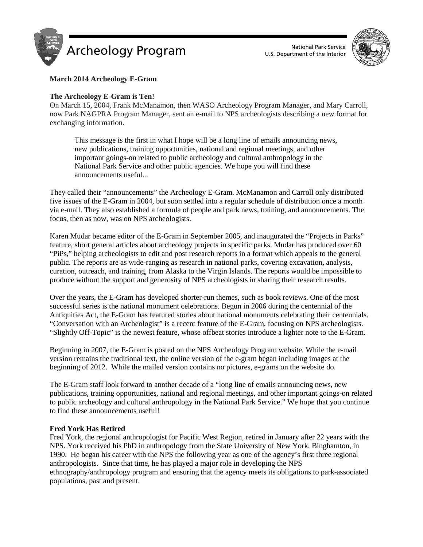



# **March 2014 Archeology E-Gram**

## **The Archeology E-Gram is Ten!**

On March 15, 2004, Frank McManamon, then WASO Archeology Program Manager, and Mary Carroll, now Park NAGPRA Program Manager, sent an e-mail to NPS archeologists describing a new format for exchanging information.

This message is the first in what I hope will be a long line of emails announcing news, new publications, training opportunities, national and regional meetings, and other important goings-on related to public archeology and cultural anthropology in the National Park Service and other public agencies. We hope you will find these announcements useful...

They called their "announcements" the Archeology E-Gram. McManamon and Carroll only distributed five issues of the E-Gram in 2004, but soon settled into a regular schedule of distribution once a month via e-mail. They also established a formula of people and park news, training, and announcements. The focus, then as now, was on NPS archeologists.

Karen Mudar became editor of the E-Gram in September 2005, and inaugurated the "Projects in Parks" feature, short general articles about archeology projects in specific parks. Mudar has produced over 60 "PiPs," helping archeologists to edit and post research reports in a format which appeals to the general public. The reports are as wide-ranging as research in national parks, covering excavation, analysis, curation, outreach, and training, from Alaska to the Virgin Islands. The reports would be impossible to produce without the support and generosity of NPS archeologists in sharing their research results.

Over the years, the E-Gram has developed shorter-run themes, such as book reviews. One of the most successful series is the national monument celebrations. Begun in 2006 during the centennial of the Antiquities Act, the E-Gram has featured stories about national monuments celebrating their centennials. "Conversation with an Archeologist" is a recent feature of the E-Gram, focusing on NPS archeologists. "Slightly Off-Topic" is the newest feature, whose offbeat stories introduce a lighter note to the E-Gram.

Beginning in 2007, the E-Gram is posted on the NPS Archeology Program website. While the e-mail version remains the traditional text, the online version of the e-gram began including images at the beginning of 2012. While the mailed version contains no pictures, e-grams on the website do.

The E-Gram staff look forward to another decade of a "long line of emails announcing news, new publications, training opportunities, national and regional meetings, and other important goings-on related to public archeology and cultural anthropology in the National Park Service." We hope that you continue to find these announcements useful!

## **Fred York Has Retired**

Fred York, the regional anthropologist for Pacific West Region, retired in January after 22 years with the NPS. York received his PhD in anthropology from the State University of New York, Binghamton, in 1990. He began his career with the NPS the following year as one of the agency's first three regional anthropologists. Since that time, he has played a major role in developing the NPS ethnography/anthropology program and ensuring that the agency meets its obligations to park-associated populations, past and present.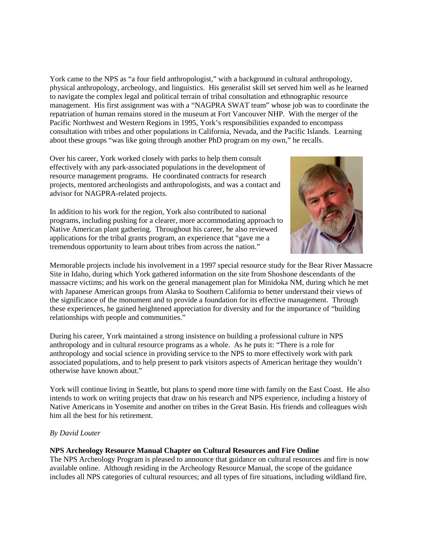York came to the NPS as "a four field anthropologist," with a background in cultural anthropology, physical anthropology, archeology, and linguistics. His generalist skill set served him well as he learned to navigate the complex legal and political terrain of tribal consultation and ethnographic resource management. His first assignment was with a "NAGPRA SWAT team" whose job was to coordinate the repatriation of human remains stored in the museum at Fort Vancouver NHP. With the merger of the Pacific Northwest and Western Regions in 1995, York's responsibilities expanded to encompass consultation with tribes and other populations in California, Nevada, and the Pacific Islands. Learning about these groups "was like going through another PhD program on my own," he recalls.

Over his career, York worked closely with parks to help them consult effectively with any park-associated populations in the development of resource management programs. He coordinated contracts for research projects, mentored archeologists and anthropologists, and was a contact and advisor for NAGPRA-related projects.

In addition to his work for the region, York also contributed to national programs, including pushing for a clearer, more accommodating approach to Native American plant gathering. Throughout his career, he also reviewed applications for the tribal grants program, an experience that "gave me a tremendous opportunity to learn about tribes from across the nation."



Memorable projects include his involvement in a 1997 special resource study for the Bear River Massacre Site in Idaho, during which York gathered information on the site from Shoshone descendants of the massacre victims; and his work on the general management plan for Minidoka NM, during which he met with Japanese American groups from Alaska to Southern California to better understand their views of the significance of the monument and to provide a foundation for its effective management. Through these experiences, he gained heightened appreciation for diversity and for the importance of "building relationships with people and communities."

During his career, York maintained a strong insistence on building a professional culture in NPS anthropology and in cultural resource programs as a whole. As he puts it: "There is a role for anthropology and social science in providing service to the NPS to more effectively work with park associated populations, and to help present to park visitors aspects of American heritage they wouldn't otherwise have known about."

York will continue living in Seattle, but plans to spend more time with family on the East Coast. He also intends to work on writing projects that draw on his research and NPS experience, including a history of Native Americans in Yosemite and another on tribes in the Great Basin. His friends and colleagues wish him all the best for his retirement.

## *By David Louter*

## **NPS Archeology Resource Manual Chapter on Cultural Resources and Fire Online**

The NPS Archeology Program is pleased to announce that guidance on cultural resources and fire is now available online. Although residing in the Archeology Resource Manual, the scope of the guidance includes all NPS categories of cultural resources; and all types of fire situations, including wildland fire,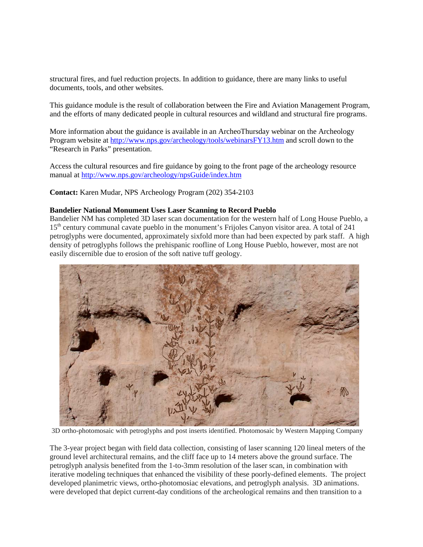structural fires, and fuel reduction projects. In addition to guidance, there are many links to useful documents, tools, and other websites.

This guidance module is the result of collaboration between the Fire and Aviation Management Program, and the efforts of many dedicated people in cultural resources and wildland and structural fire programs.

More information about the guidance is available in an ArcheoThursday webinar on the Archeology Program website a[t http://www.nps.gov/archeology/tools/webinarsFY13.htm](http://www.nps.gov/archeology/tools/webinarsFY13.htm) and scroll down to the "Research in Parks" presentation.

Access the cultural resources and fire guidance by going to the front page of the archeology resource manual at<http://www.nps.gov/archeology/npsGuide/index.htm>

**Contact:** Karen Mudar, NPS Archeology Program (202) 354-2103

## **Bandelier National Monument Uses Laser Scanning to Record Pueblo**

Bandelier NM has completed 3D laser scan documentation for the western half of Long House Pueblo, a 15<sup>th</sup> century communal cavate pueblo in the monument's Frijoles Canyon visitor area. A total of 241 petroglyphs were documented, approximately sixfold more than had been expected by park staff. A high density of petroglyphs follows the prehispanic roofline of Long House Pueblo, however, most are not easily discernible due to erosion of the soft native tuff geology.



3D ortho-photomosaic with petroglyphs and post inserts identified. Photomosaic by Western Mapping Company

The 3-year project began with field data collection, consisting of laser scanning 120 lineal meters of the ground level architectural remains, and the cliff face up to 14 meters above the ground surface. The petroglyph analysis benefited from the 1-to-3mm resolution of the laser scan, in combination with iterative modeling techniques that enhanced the visibility of these poorly-defined elements. The project developed planimetric views, ortho-photomosiac elevations, and petroglyph analysis. 3D animations. were developed that depict current-day conditions of the archeological remains and then transition to a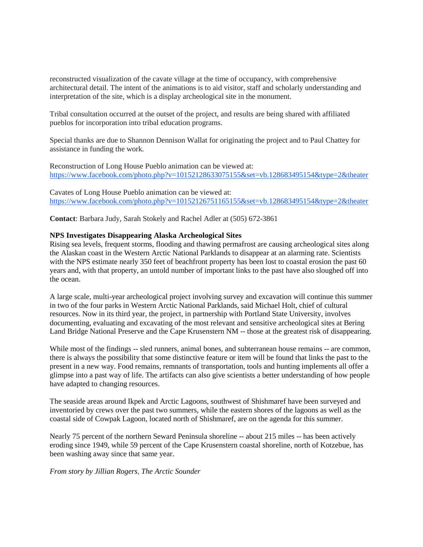reconstructed visualization of the cavate village at the time of occupancy, with comprehensive architectural detail. The intent of the animations is to aid visitor, staff and scholarly understanding and interpretation of the site, which is a display archeological site in the monument.

Tribal consultation occurred at the outset of the project, and results are being shared with affiliated pueblos for incorporation into tribal education programs.

Special thanks are due to Shannon Dennison Wallat for originating the project and to Paul Chattey for assistance in funding the work.

Reconstruction of Long House Pueblo animation can be viewed at: <https://www.facebook.com/photo.php?v=10152128633075155&set=vb.128683495154&type=2&theater>

Cavates of Long House Pueblo animation can be viewed at: <https://www.facebook.com/photo.php?v=10152126751165155&set=vb.128683495154&type=2&theater>

**Contact**: Barbara Judy, Sarah Stokely and Rachel Adler at (505) 672-3861

#### **NPS Investigates Disappearing Alaska Archeological Sites**

Rising sea levels, frequent storms, flooding and thawing permafrost are causing archeological sites along the Alaskan coast in the Western Arctic National Parklands to disappear at an alarming rate. Scientists with the NPS estimate nearly 350 feet of beachfront property has been lost to coastal erosion the past 60 years and, with that property, an untold number of important links to the past have also sloughed off into the ocean.

A large scale, multi-year archeological project involving survey and excavation will continue this summer in two of the four parks in Western Arctic National Parklands, said Michael Holt, chief of cultural resources. Now in its third year, the project, in partnership with Portland State University, involves documenting, evaluating and excavating of the most relevant and sensitive archeological sites at Bering Land Bridge National Preserve and the Cape Krusenstern NM -- those at the greatest risk of disappearing.

While most of the findings -- sled runners, animal bones, and subterranean house remains -- are common, there is always the possibility that some distinctive feature or item will be found that links the past to the present in a new way. Food remains, remnants of transportation, tools and hunting implements all offer a glimpse into a past way of life. The artifacts can also give scientists a better understanding of how people have adapted to changing resources.

The seaside areas around Ikpek and Arctic Lagoons, southwest of Shishmaref have been surveyed and inventoried by crews over the past two summers, while the eastern shores of the lagoons as well as the coastal side of Cowpak Lagoon, located north of Shishmaref, are on the agenda for this summer.

Nearly 75 percent of the northern Seward Peninsula shoreline -- about 215 miles -- has been actively eroding since 1949, while 59 percent of the Cape Krusenstern coastal shoreline, north of Kotzebue, has been washing away since that same year.

*From story by Jillian Rogers, The Arctic Sounder*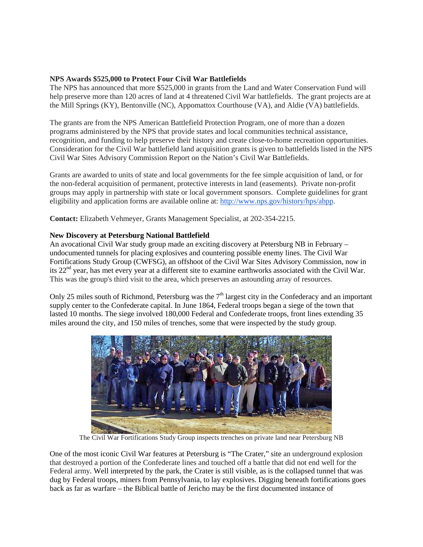# **NPS Awards \$525,000 to Protect Four Civil War Battlefields**

The NPS has announced that more \$525,000 in grants from the Land and Water Conservation Fund will help preserve more than 120 acres of land at 4 threatened Civil War battlefields. The grant projects are at the Mill Springs (KY), Bentonville (NC), Appomattox Courthouse (VA), and Aldie (VA) battlefields.

The grants are from the NPS American Battlefield Protection Program, one of more than a dozen programs administered by the NPS that provide states and local communities technical assistance, recognition, and funding to help preserve their history and create close-to-home recreation opportunities. Consideration for the Civil War battlefield land acquisition grants is given to battlefields listed in the NPS Civil War Sites Advisory Commission Report on the Nation's Civil War Battlefields.

Grants are awarded to units of state and local governments for the fee simple acquisition of land, or for the non-federal acquisition of permanent, protective interests in land (easements). Private non-profit groups may apply in partnership with state or local government sponsors. Complete guidelines for grant eligibility and application forms are available online at: [http://www.nps.gov/history/hps/abpp.](http://www.nps.gov/history/hps/abpp)

**Contact:** Elizabeth Vehmeyer, Grants Management Specialist, at 202-354-2215.

# **New Discovery at Petersburg National Battlefield**

An avocational Civil War study group made an exciting discovery at Petersburg NB in February – undocumented tunnels for placing explosives and countering possible enemy lines. The Civil War Fortifications Study Group (CWFSG), an offshoot of the Civil War Sites Advisory Commission, now in its  $22<sup>nd</sup>$  year, has met every year at a different site to examine earthworks associated with the Civil War. This was the group's third visit to the area, which preserves an astounding array of resources.

Only 25 miles south of Richmond, Petersburg was the  $7<sup>th</sup>$  largest city in the Confederacy and an important supply center to the Confederate capital. In June 1864, Federal troops began a siege of the town that lasted 10 months. The siege involved 180,000 Federal and Confederate troops, front lines extending 35 miles around the city, and 150 miles of trenches, some that were inspected by the study group.



The Civil War Fortifications Study Group inspects trenches on private land near Petersburg NB

One of the most iconic Civil War features at Petersburg is "The Crater," site an underground explosion that destroyed a portion of the Confederate lines and touched off a battle that did not end well for the Federal army. Well interpreted by the park, the Crater is still visible, as is the collapsed tunnel that was dug by Federal troops, miners from Pennsylvania, to lay explosives. Digging beneath fortifications goes back as far as warfare – the Biblical battle of Jericho may be the first documented instance of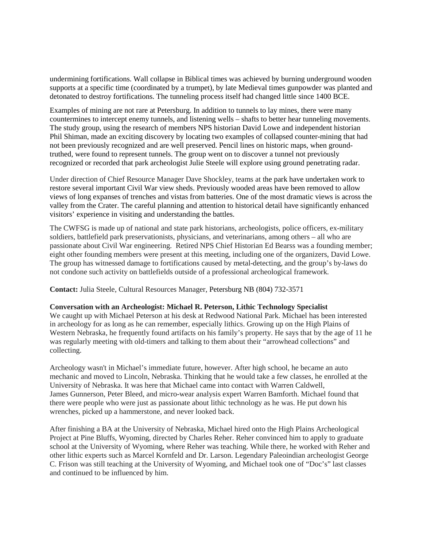undermining fortifications. Wall collapse in Biblical times was achieved by burning underground wooden supports at a specific time (coordinated by a trumpet), by late Medieval times gunpowder was planted and detonated to destroy fortifications. The tunneling process itself had changed little since 1400 BCE.

Examples of mining are not rare at Petersburg. In addition to tunnels to lay mines, there were many countermines to intercept enemy tunnels, and listening wells – shafts to better hear tunneling movements. The study group, using the research of members NPS historian David Lowe and independent historian Phil Shiman, made an exciting discovery by locating two examples of collapsed counter-mining that had not been previously recognized and are well preserved. Pencil lines on historic maps, when groundtruthed, were found to represent tunnels. The group went on to discover a tunnel not previously recognized or recorded that park archeologist Julie Steele will explore using ground penetrating radar.

Under direction of Chief Resource Manager Dave Shockley, teams at the park have undertaken work to restore several important Civil War view sheds. Previously wooded areas have been removed to allow views of long expanses of trenches and vistas from batteries. One of the most dramatic views is across the valley from the Crater. The careful planning and attention to historical detail have significantly enhanced visitors' experience in visiting and understanding the battles.

The CWFSG is made up of national and state park historians, archeologists, police officers, ex-military soldiers, battlefield park preservationists, physicians, and veterinarians, among others – all who are passionate about Civil War engineering. Retired NPS Chief Historian Ed Bearss was a founding member; eight other founding members were present at this meeting, including one of the organizers, David Lowe. The group has witnessed damage to fortifications caused by metal-detecting, and the group's by-laws do not condone such activity on battlefields outside of a professional archeological framework.

**Contact:** Julia Steele, Cultural Resources Manager, Petersburg NB (804) 732-3571

#### **Conversation with an Archeologist: Michael R. Peterson, Lithic Technology Specialist**

We caught up with Michael Peterson at his desk at Redwood National Park. Michael has been interested in archeology for as long as he can remember, especially lithics. Growing up on the High Plains of Western Nebraska, he frequently found artifacts on his family's property. He says that by the age of 11 he was regularly meeting with old-timers and talking to them about their "arrowhead collections" and collecting.

Archeology wasn't in Michael's immediate future, however. After high school, he became an auto mechanic and moved to Lincoln, Nebraska. Thinking that he would take a few classes, he enrolled at the University of Nebraska. It was here that Michael came into contact with Warren Caldwell, James Gunnerson, Peter Bleed, and micro-wear analysis expert Warren Bamforth. Michael found that there were people who were just as passionate about lithic technology as he was. He put down his wrenches, picked up a hammerstone, and never looked back.

After finishing a BA at the University of Nebraska, Michael hired onto the High Plains Archeological Project at Pine Bluffs, Wyoming, directed by Charles Reher. Reher convinced him to apply to graduate school at the University of Wyoming, where Reher was teaching. While there, he worked with Reher and other lithic experts such as Marcel Kornfeld and Dr. Larson. Legendary Paleoindian archeologist George C. Frison was still teaching at the University of Wyoming, and Michael took one of "Doc's" last classes and continued to be influenced by him.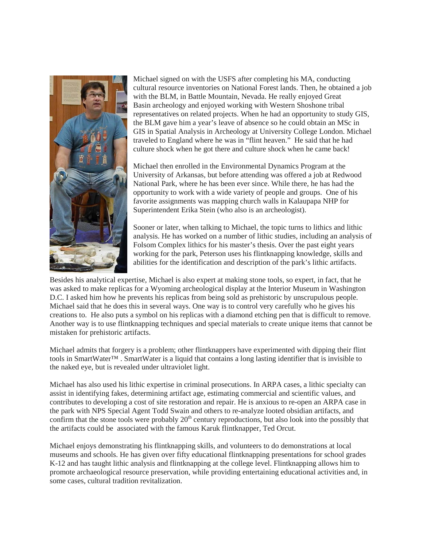

Michael signed on with the USFS after completing his MA, conducting cultural resource inventories on National Forest lands. Then, he obtained a job with the BLM, in Battle Mountain, Nevada. He really enjoyed Great Basin archeology and enjoyed working with Western Shoshone tribal representatives on related projects. When he had an opportunity to study GIS, the BLM gave him a year's leave of absence so he could obtain an MSc in GIS in Spatial Analysis in Archeology at University College London. Michael traveled to England where he was in "flint heaven." He said that he had culture shock when he got there and culture shock when he came back!

Michael then enrolled in the Environmental Dynamics Program at the University of Arkansas, but before attending was offered a job at Redwood National Park, where he has been ever since. While there, he has had the opportunity to work with a wide variety of people and groups. One of his favorite assignments was mapping church walls in Kalaupapa NHP for Superintendent Erika Stein (who also is an archeologist).

Sooner or later, when talking to Michael, the topic turns to lithics and lithic analysis. He has worked on a number of lithic studies, including an analysis of Folsom Complex lithics for his master's thesis. Over the past eight years working for the park, Peterson uses his flintknapping knowledge, skills and abilities for the identification and description of the park's lithic artifacts.

Besides his analytical expertise, Michael is also expert at making stone tools, so expert, in fact, that he was asked to make replicas for a Wyoming archeological display at the Interior Museum in Washington D.C. I asked him how he prevents his replicas from being sold as prehistoric by unscrupulous people. Michael said that he does this in several ways. One way is to control very carefully who he gives his creations to. He also puts a symbol on his replicas with a diamond etching pen that is difficult to remove. Another way is to use flintknapping techniques and special materials to create unique items that cannot be mistaken for prehistoric artifacts.

Michael admits that forgery is a problem; other flintknappers have experimented with dipping their flint tools in SmartWater™ . SmartWater is a liquid that contains a long lasting identifier that is invisible to the naked eye, but is revealed under ultraviolet light.

Michael has also used his lithic expertise in criminal prosecutions. In ARPA cases, a lithic specialty can assist in identifying fakes, determining artifact age, estimating commercial and scientific values, and contributes to developing a cost of site restoration and repair. He is anxious to re-open an ARPA case in the park with NPS Special Agent Todd Swain and others to re-analyze looted obsidian artifacts, and confirm that the stone tools were probably  $20<sup>th</sup>$  century reproductions, but also look into the possibly that the artifacts could be associated with the famous Karuk flintknapper, Ted Orcut.

Michael enjoys demonstrating his flintknapping skills, and volunteers to do demonstrations at local museums and schools. He has given over fifty educational flintknapping presentations for school grades K-12 and has taught lithic analysis and flintknapping at the college level. Flintknapping allows him to promote archaeological resource preservation, while providing entertaining educational activities and, in some cases, cultural tradition revitalization.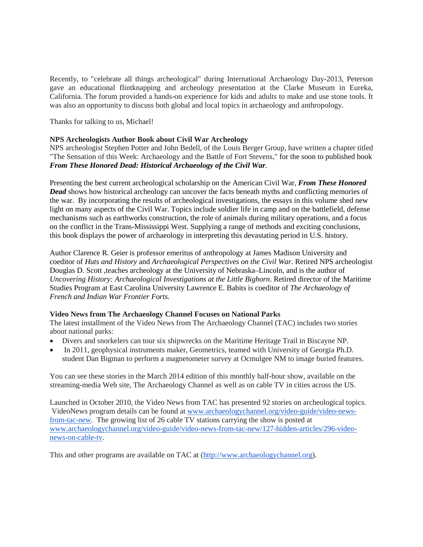Recently, to "celebrate all things archeological" during International Archaeology Day-2013, Peterson gave an educational flintknapping and archeology presentation at the Clarke Museum in Eureka, California. The forum provided a hands-on experience for kids and adults to make and use stone tools. It was also an opportunity to discuss both global and local topics in archaeology and anthropology.

Thanks for talking to us, Michael!

# **NPS Archeologists Author Book about Civil War Archeology**

NPS archeologist Stephen Potter and John Bedell, of the Louis Berger Group, have written a chapter titled "The Sensation of this Week: Archaeology and the Battle of Fort Stevens," for the soon to published book *From These Honored Dead: Historical Archaeology of the Civil War.*

Presenting the best current archeological scholarship on the American Civil War, *From These Honored Dead* shows how historical archeology can uncover the facts beneath myths and conflicting memories of the war. By incorporating the results of archeological investigations, the essays in this volume shed new light on many aspects of the Civil War. Topics include soldier life in camp and on the battlefield, defense mechanisms such as earthworks construction, the role of animals during military operations, and a focus on the conflict in the Trans-Mississippi West. Supplying a range of methods and exciting conclusions, this book displays the power of archaeology in interpreting this devastating period in U.S. history.

Author Clarence R. Geier is professor emeritus of anthropology at James Madison University and coeditor of *Huts and History* and *Archaeological Perspectives on the Civil War*. Retired NPS archeologist Douglas D. Scott ,teaches archeology at the University of Nebraska–Lincoln, and is the author of *Uncovering History: Archaeological Investigations at the Little Bighorn*. Retired director of the Maritime Studies Program at East Carolina University Lawrence E. Babits is coeditor of *The Archaeology of French and Indian War Frontier Forts*.

## **Video News from The Archaeology Channel Focuses on National Parks**

The latest installment of the Video News from The Archaeology Channel (TAC) includes two stories about national parks:

- Divers and snorkelers can tour six shipwrecks on the Maritime Heritage Trail in Biscayne NP.
- In 2011, geophysical instruments maker, Geometrics, teamed with University of Georgia Ph.D. student Dan Bigman to perform a magnetometer survey at Ocmulgee NM to image buried features.

You can see these stories in the March 2014 edition of this monthly half-hour show, available on the streaming-media Web site, The Archaeology Channel as well as on cable TV in cities across the US.

Launched in October 2010, the Video News from TAC has presented 92 stories on archeological topics. VideoNews program details can be found at [www.archaeologychannel.org/video-guide/video-news](http://www.archaeologychannel.org/video-guide/video-news-from-tac-new)[from-tac-new.](http://www.archaeologychannel.org/video-guide/video-news-from-tac-new) The growing list of 26 cable TV stations carrying the show is posted at [www.archaeologychannel.org/video-guide/video-news-from-tac-new/127-hidden-articles/296-video](http://www.archaeologychannel.org/video-guide/video-news-from-tac-new/127-hidden-articles/296-video-news-on-cable-tv)[news-on-cable-tv.](http://www.archaeologychannel.org/video-guide/video-news-from-tac-new/127-hidden-articles/296-video-news-on-cable-tv)

This and other programs are available on TAC at [\(http://www.archaeologychannel.org\)](http://www.archaeologychannel.org/).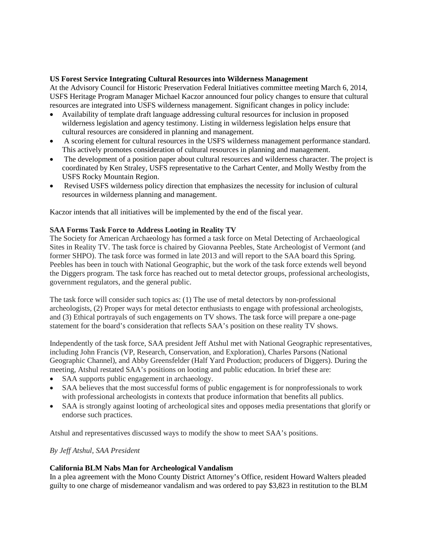### **US Forest Service Integrating Cultural Resources into Wilderness Management**

At the Advisory Council for Historic Preservation Federal Initiatives committee meeting March 6, 2014, USFS Heritage Program Manager Michael Kaczor announced four policy changes to ensure that cultural resources are integrated into USFS wilderness management. Significant changes in policy include:

- Availability of template draft language addressing cultural resources for inclusion in proposed wilderness legislation and agency testimony. Listing in wilderness legislation helps ensure that cultural resources are considered in planning and management.
- A scoring element for cultural resources in the USFS wilderness management performance standard. This actively promotes consideration of cultural resources in planning and management.
- The development of a position paper about cultural resources and wilderness character. The project is coordinated by Ken Straley, USFS representative to the Carhart Center, and Molly Westby from the USFS Rocky Mountain Region.
- Revised USFS wilderness policy direction that emphasizes the necessity for inclusion of cultural resources in wilderness planning and management.

Kaczor intends that all initiatives will be implemented by the end of the fiscal year.

## **SAA Forms Task Force to Address Looting in Reality TV**

The Society for American Archaeology has formed a task force on Metal Detecting of Archaeological Sites in Reality TV. The task force is chaired by Giovanna Peebles, State Archeologist of Vermont (and former SHPO). The task force was formed in late 2013 and will report to the SAA board this Spring. Peebles has been in touch with National Geographic, but the work of the task force extends well beyond the Diggers program. The task force has reached out to metal detector groups, professional archeologists, government regulators, and the general public.

The task force will consider such topics as: (1) The use of metal detectors by non-professional archeologists, (2) Proper ways for metal detector enthusiasts to engage with professional archeologists, and (3) Ethical portrayals of such engagements on TV shows. The task force will prepare a one-page statement for the board's consideration that reflects SAA's position on these reality TV shows.

Independently of the task force, SAA president Jeff Atshul met with National Geographic representatives, including John Francis (VP, Research, Conservation, and Exploration), Charles Parsons (National Geographic Channel), and Abby Greensfelder (Half Yard Production; producers of Diggers). During the meeting, Atshul restated SAA's positions on looting and public education. In brief these are:

- SAA supports public engagement in archaeology.
- SAA believes that the most successful forms of public engagement is for nonprofessionals to work with professional archeologists in contexts that produce information that benefits all publics.
- SAA is strongly against looting of archeological sites and opposes media presentations that glorify or endorse such practices.

Atshul and representatives discussed ways to modify the show to meet SAA's positions.

#### *By Jeff Atshul, SAA President*

#### **California BLM Nabs Man for Archeological Vandalism**

In a plea agreement with the Mono County District Attorney's Office, resident Howard Walters pleaded guilty to one charge of misdemeanor vandalism and was ordered to pay \$3,823 in restitution to the BLM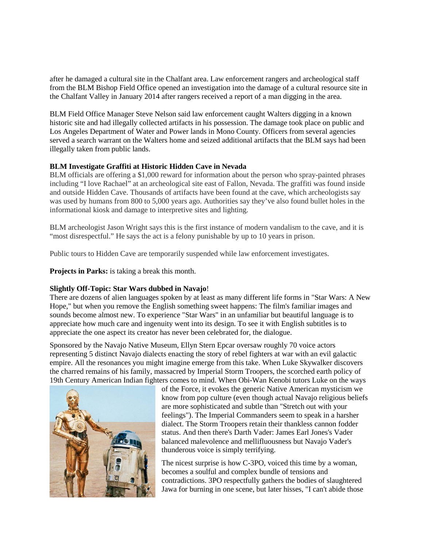after he damaged a cultural site in the Chalfant area. Law enforcement rangers and archeological staff from the BLM Bishop Field Office opened an investigation into the damage of a cultural resource site in the Chalfant Valley in January 2014 after rangers received a report of a man digging in the area.

BLM Field Office Manager Steve Nelson said law enforcement caught Walters digging in a known historic site and had illegally collected artifacts in his possession. The damage took place on public and Los Angeles Department of Water and Power lands in Mono County. Officers from several agencies served a search warrant on the Walters home and seized additional artifacts that the BLM says had been illegally taken from public lands.

## **BLM Investigate Graffiti at Historic Hidden Cave in Nevada**

BLM officials are offering a \$1,000 reward for information about the person who spray-painted phrases including "I love Rachael" at an archeological site east of Fallon, Nevada. The graffiti was found inside and outside Hidden Cave. Thousands of artifacts have been found at the cave, which archeologists say was used by humans from 800 to 5,000 years ago. Authorities say they've also found bullet holes in the informational kiosk and damage to interpretive sites and lighting.

BLM archeologist Jason Wright says this is the first instance of modern vandalism to the cave, and it is "most disrespectful." He says the act is a felony punishable by up to 10 years in prison.

Public tours to Hidden Cave are temporarily suspended while law enforcement investigates.

**Projects in Parks:** is taking a break this month.

## **Slightly Off-Topic: Star Wars dubbed in Navajo**!

There are dozens of alien languages spoken by at least as many different life forms in "Star Wars: A New Hope," but when you remove the English something sweet happens: The film's familiar images and sounds become almost new. To experience "Star Wars" in an unfamiliar but beautiful language is to appreciate how much care and ingenuity went into its design. To see it with English subtitles is to appreciate the one aspect its creator has never been celebrated for, the dialogue.

Sponsored by the Navajo Native Museum, Ellyn Stern Epcar oversaw roughly 70 voice actors representing 5 distinct Navajo dialects enacting the story of rebel fighters at war with an evil galactic empire. All the resonances you might imagine emerge from this take. When Luke Skywalker discovers the charred remains of his family, massacred by Imperial Storm Troopers, the scorched earth policy of 19th Century American Indian fighters comes to mind. When Obi-Wan Kenobi tutors Luke on the ways



of the Force, it evokes the generic Native American mysticism we know from pop culture (even though actual Navajo religious beliefs are more sophisticated and subtle than "Stretch out with your feelings"). The Imperial Commanders seem to speak in a harsher dialect. The Storm Troopers retain their thankless cannon fodder status. And then there's Darth Vader: James Earl Jones's Vader balanced malevolence and mellifluousness but Navajo Vader's thunderous voice is simply terrifying.

The nicest surprise is how C-3PO, voiced this time by a woman, becomes a soulful and complex bundle of tensions and contradictions. 3PO respectfully gathers the bodies of slaughtered Jawa for burning in one scene, but later hisses, "I can't abide those